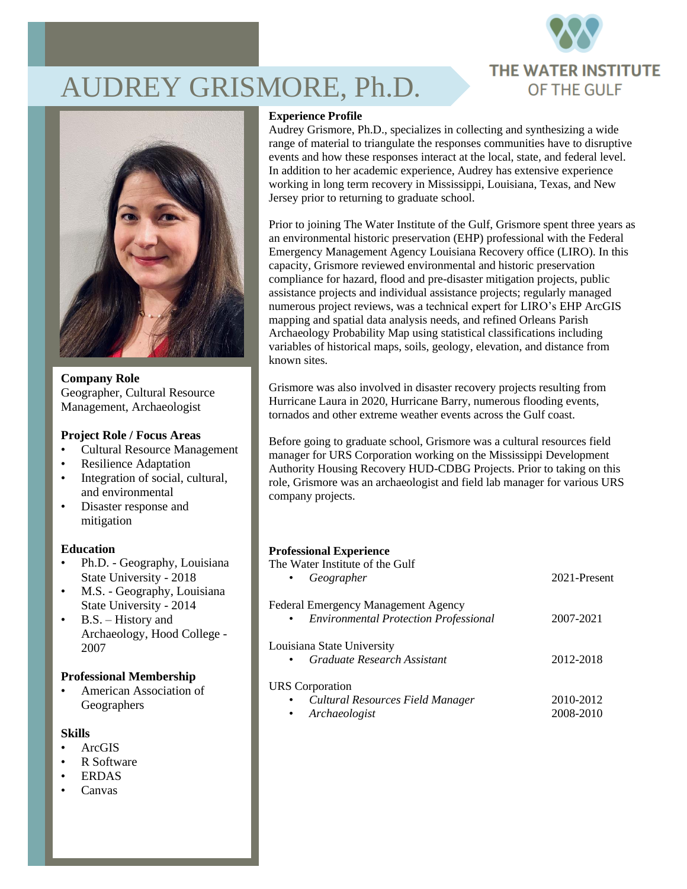

# AUDREY GRISMORE, Ph.D.



**Company Role** Geographer, Cultural Resource Management, Archaeologist

## **Project Role / Focus Areas**

- Cultural Resource Management
- Resilience Adaptation
- Integration of social, cultural, and environmental
- Disaster response and mitigation

## **Education**

- Ph.D. Geography, Louisiana State University - 2018
- M.S. Geography, Louisiana State University - 2014
- B.S. History and Archaeology, Hood College - 2007

## **Professional Membership**

• American Association of Geographers

## **Skills**

- ArcGIS
- R Software
- ERDAS
- Canvas

#### **Experience Profile**

Audrey Grismore, Ph.D., specializes in collecting and synthesizing a wide range of material to triangulate the responses communities have to disruptive events and how these responses interact at the local, state, and federal level. In addition to her academic experience, Audrey has extensive experience working in long term recovery in Mississippi, Louisiana, Texas, and New Jersey prior to returning to graduate school.

Prior to joining The Water Institute of the Gulf, Grismore spent three years as an environmental historic preservation (EHP) professional with the Federal Emergency Management Agency Louisiana Recovery office (LIRO). In this capacity, Grismore reviewed environmental and historic preservation compliance for hazard, flood and pre-disaster mitigation projects, public assistance projects and individual assistance projects; regularly managed numerous project reviews, was a technical expert for LIRO's EHP ArcGIS mapping and spatial data analysis needs, and refined Orleans Parish Archaeology Probability Map using statistical classifications including variables of historical maps, soils, geology, elevation, and distance from known sites.

Grismore was also involved in disaster recovery projects resulting from Hurricane Laura in 2020, Hurricane Barry, numerous flooding events, tornados and other extreme weather events across the Gulf coast.

Before going to graduate school, Grismore was a cultural resources field manager for URS Corporation working on the Mississippi Development Authority Housing Recovery HUD-CDBG Projects. Prior to taking on this role, Grismore was an archaeologist and field lab manager for various URS company projects.

#### **Professional Experience**

| The Water Institute of the Gulf<br>Geographer<br>$\bullet$                                            | 2021-Present           |
|-------------------------------------------------------------------------------------------------------|------------------------|
| Federal Emergency Management Agency<br><b>Environmental Protection Professional</b><br>$\bullet$      | 2007-2021              |
| Louisiana State University<br>Graduate Research Assistant<br>$\bullet$                                | 2012-2018              |
| <b>URS</b> Corporation<br>Cultural Resources Field Manager<br>$\bullet$<br>Archaeologist<br>$\bullet$ | 2010-2012<br>2008-2010 |